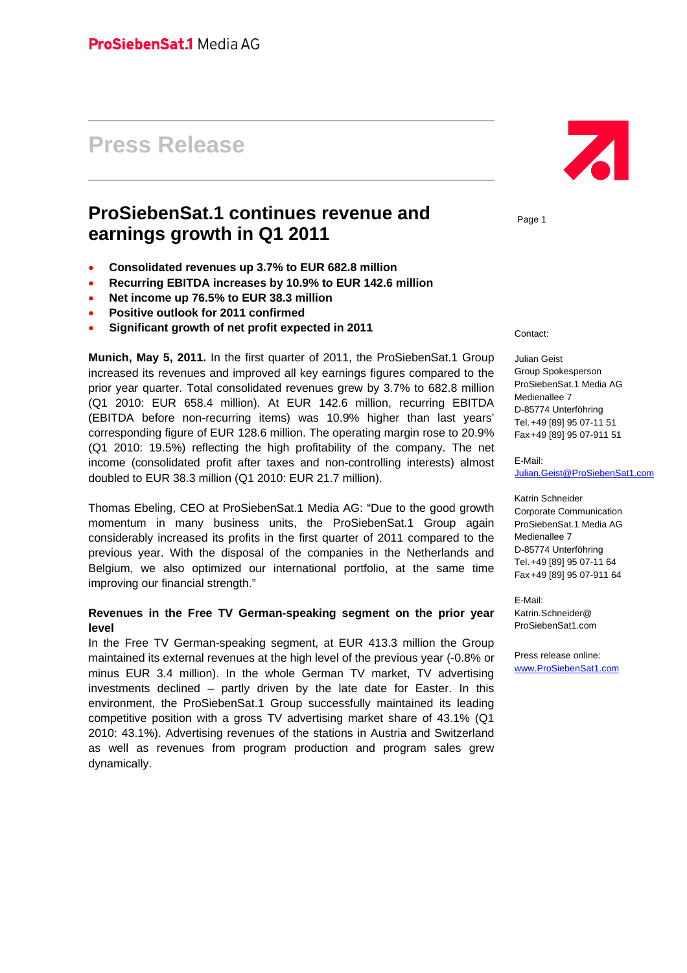# **Press Release**

## **ProSiebenSat.1 continues revenue and earnings growth in Q1 2011**

- **Consolidated revenues up 3.7% to EUR 682.8 million**
- **Recurring EBITDA increases by 10.9% to EUR 142.6 million**
- **Net income up 76.5% to EUR 38.3 million**
- **Positive outlook for 2011 confirmed**
- **Significant growth of net profit expected in 2011**

**Munich, May 5, 2011.** In the first quarter of 2011, the ProSiebenSat.1 Group increased its revenues and improved all key earnings figures compared to the prior year quarter. Total consolidated revenues grew by 3.7% to 682.8 million (Q1 2010: EUR 658.4 million). At EUR 142.6 million, recurring EBITDA (EBITDA before non-recurring items) was 10.9% higher than last years' corresponding figure of EUR 128.6 million. The operating margin rose to 20.9% (Q1 2010: 19.5%) reflecting the high profitability of the company. The net income (consolidated profit after taxes and non-controlling interests) almost doubled to EUR 38.3 million (Q1 2010: EUR 21.7 million).

Thomas Ebeling, CEO at ProSiebenSat.1 Media AG: "Due to the good growth momentum in many business units, the ProSiebenSat.1 Group again considerably increased its profits in the first quarter of 2011 compared to the previous year. With the disposal of the companies in the Netherlands and Belgium, we also optimized our international portfolio, at the same time improving our financial strength."

#### **Revenues in the Free TV German-speaking segment on the prior year level**

In the Free TV German-speaking segment, at EUR 413.3 million the Group maintained its external revenues at the high level of the previous year (-0.8% or minus EUR 3.4 million). In the whole German TV market, TV advertising investments declined – partly driven by the late date for Easter. In this environment, the ProSiebenSat.1 Group successfully maintained its leading competitive position with a gross TV advertising market share of 43.1% (Q1 2010: 43.1%). Advertising revenues of the stations in Austria and Switzerland as well as revenues from program production and program sales grew dynamically.



Page 1

Contact:

Julian Geist Group Spokesperson ProSiebenSat.1 Media AG Medienallee 7 D-85774 Unterföhring Tel. +49 [89] 95 07-11 51 Fax +49 [89] 95 07-911 51

E-Mail:

Julian.Geist@ProSiebenSat1.com

Katrin Schneider Corporate Communication ProSiebenSat.1 Media AG Medienallee 7 D-85774 Unterföhring Tel. +49 [89] 95 07-11 64 Fax +49 [89] 95 07-911 64

E-Mail: Katrin.Schneider@ ProSiebenSat1.com

Press release online: www.ProSiebenSat1.com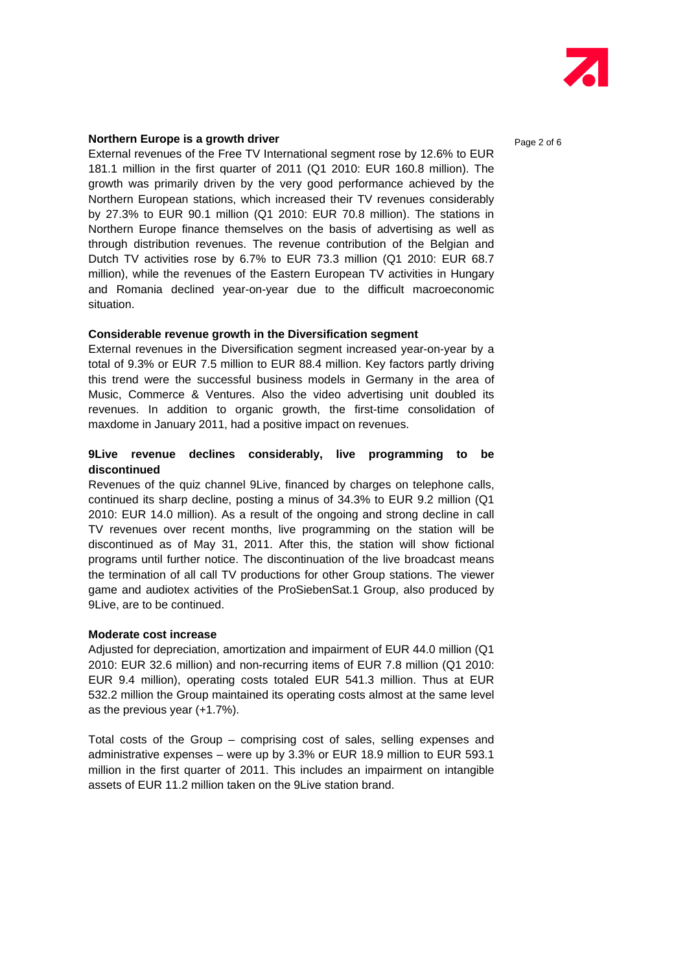

#### **Northern Europe is a growth driver <b>Page 2** of 6 **Page 2** of 6

External revenues of the Free TV International segment rose by 12.6% to EUR 181.1 million in the first quarter of 2011 (Q1 2010: EUR 160.8 million). The growth was primarily driven by the very good performance achieved by the Northern European stations, which increased their TV revenues considerably by 27.3% to EUR 90.1 million (Q1 2010: EUR 70.8 million). The stations in Northern Europe finance themselves on the basis of advertising as well as through distribution revenues. The revenue contribution of the Belgian and Dutch TV activities rose by 6.7% to EUR 73.3 million (Q1 2010: EUR 68.7 million), while the revenues of the Eastern European TV activities in Hungary and Romania declined year-on-year due to the difficult macroeconomic situation.

#### **Considerable revenue growth in the Diversification segment**

External revenues in the Diversification segment increased year-on-year by a total of 9.3% or EUR 7.5 million to EUR 88.4 million. Key factors partly driving this trend were the successful business models in Germany in the area of Music, Commerce & Ventures. Also the video advertising unit doubled its revenues. In addition to organic growth, the first-time consolidation of maxdome in January 2011, had a positive impact on revenues.

#### **9Live revenue declines considerably, live programming to be discontinued**

Revenues of the quiz channel 9Live, financed by charges on telephone calls, continued its sharp decline, posting a minus of 34.3% to EUR 9.2 million (Q1 2010: EUR 14.0 million). As a result of the ongoing and strong decline in call TV revenues over recent months, live programming on the station will be discontinued as of May 31, 2011. After this, the station will show fictional programs until further notice. The discontinuation of the live broadcast means the termination of all call TV productions for other Group stations. The viewer game and audiotex activities of the ProSiebenSat.1 Group, also produced by 9Live, are to be continued.

#### **Moderate cost increase**

Adjusted for depreciation, amortization and impairment of EUR 44.0 million (Q1 2010: EUR 32.6 million) and non-recurring items of EUR 7.8 million (Q1 2010: EUR 9.4 million), operating costs totaled EUR 541.3 million. Thus at EUR 532.2 million the Group maintained its operating costs almost at the same level as the previous year (+1.7%).

Total costs of the Group – comprising cost of sales, selling expenses and administrative expenses – were up by 3.3% or EUR 18.9 million to EUR 593.1 million in the first quarter of 2011. This includes an impairment on intangible assets of EUR 11.2 million taken on the 9Live station brand.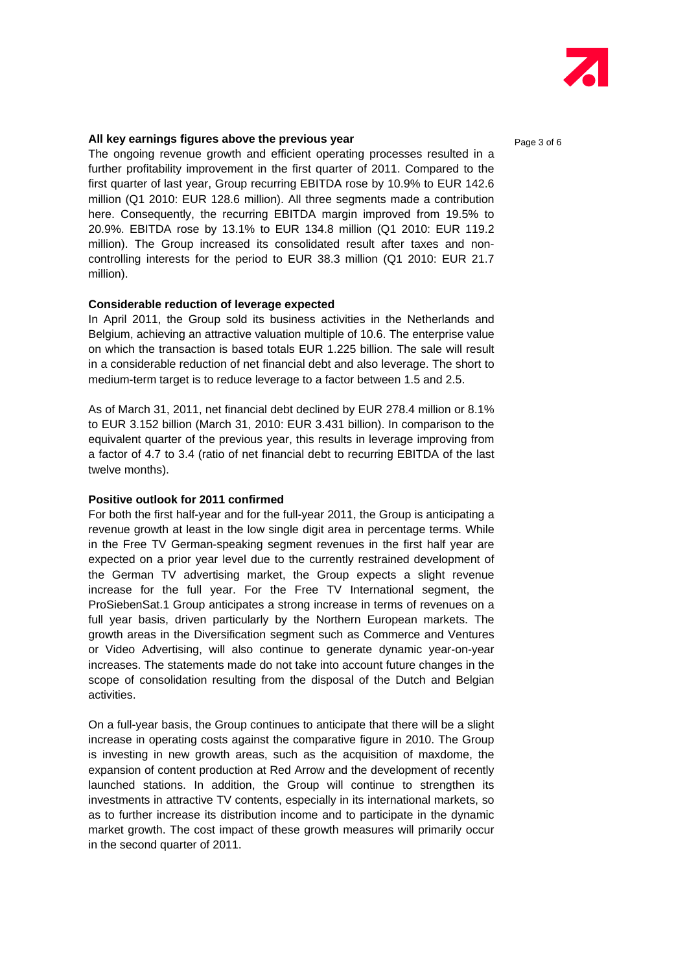

#### **All key earnings figures above the previous year <br>Page 3 of 6**

The ongoing revenue growth and efficient operating processes resulted in a further profitability improvement in the first quarter of 2011. Compared to the first quarter of last year, Group recurring EBITDA rose by 10.9% to EUR 142.6 million (Q1 2010: EUR 128.6 million). All three segments made a contribution here. Consequently, the recurring EBITDA margin improved from 19.5% to 20.9%. EBITDA rose by 13.1% to EUR 134.8 million (Q1 2010: EUR 119.2 million). The Group increased its consolidated result after taxes and noncontrolling interests for the period to EUR 38.3 million (Q1 2010: EUR 21.7 million).

#### **Considerable reduction of leverage expected**

In April 2011, the Group sold its business activities in the Netherlands and Belgium, achieving an attractive valuation multiple of 10.6. The enterprise value on which the transaction is based totals EUR 1.225 billion. The sale will result in a considerable reduction of net financial debt and also leverage. The short to medium-term target is to reduce leverage to a factor between 1.5 and 2.5.

As of March 31, 2011, net financial debt declined by EUR 278.4 million or 8.1% to EUR 3.152 billion (March 31, 2010: EUR 3.431 billion). In comparison to the equivalent quarter of the previous year, this results in leverage improving from a factor of 4.7 to 3.4 (ratio of net financial debt to recurring EBITDA of the last twelve months).

#### **Positive outlook for 2011 confirmed**

For both the first half-year and for the full-year 2011, the Group is anticipating a revenue growth at least in the low single digit area in percentage terms. While in the Free TV German-speaking segment revenues in the first half year are expected on a prior year level due to the currently restrained development of the German TV advertising market, the Group expects a slight revenue increase for the full year. For the Free TV International segment, the ProSiebenSat.1 Group anticipates a strong increase in terms of revenues on a full year basis, driven particularly by the Northern European markets. The growth areas in the Diversification segment such as Commerce and Ventures or Video Advertising, will also continue to generate dynamic year-on-year increases. The statements made do not take into account future changes in the scope of consolidation resulting from the disposal of the Dutch and Belgian activities.

On a full-year basis, the Group continues to anticipate that there will be a slight increase in operating costs against the comparative figure in 2010. The Group is investing in new growth areas, such as the acquisition of maxdome, the expansion of content production at Red Arrow and the development of recently launched stations. In addition, the Group will continue to strengthen its investments in attractive TV contents, especially in its international markets, so as to further increase its distribution income and to participate in the dynamic market growth. The cost impact of these growth measures will primarily occur in the second quarter of 2011.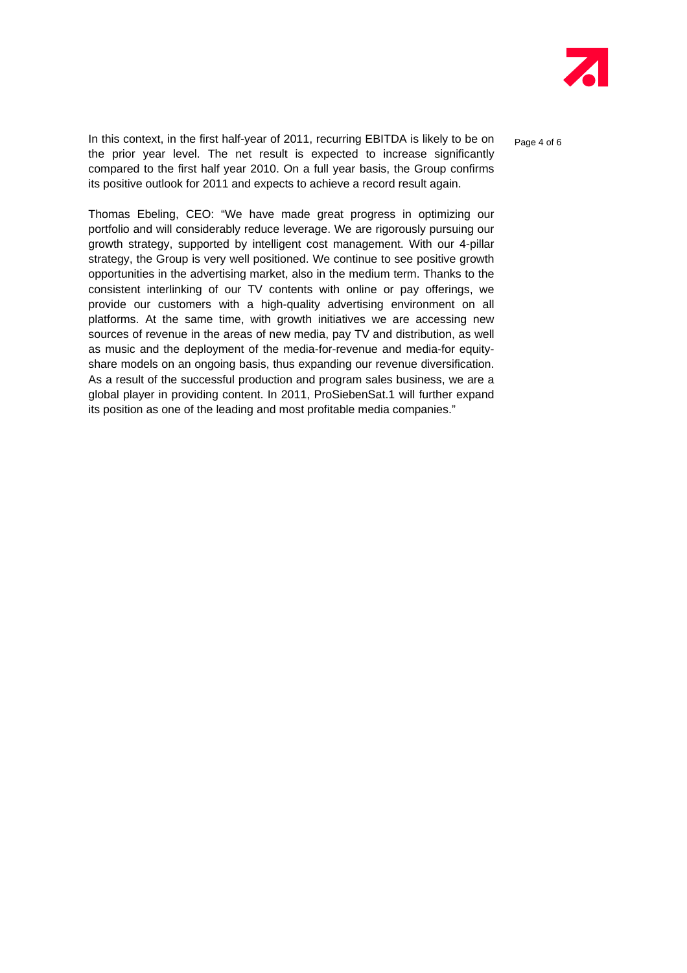

In this context, in the first half-year of 2011, recurring EBITDA is likely to be on  $_{\text{Paqe 4 of 6}}$ the prior year level. The net result is expected to increase significantly compared to the first half year 2010. On a full year basis, the Group confirms its positive outlook for 2011 and expects to achieve a record result again.

Thomas Ebeling, CEO: "We have made great progress in optimizing our portfolio and will considerably reduce leverage. We are rigorously pursuing our growth strategy, supported by intelligent cost management. With our 4-pillar strategy, the Group is very well positioned. We continue to see positive growth opportunities in the advertising market, also in the medium term. Thanks to the consistent interlinking of our TV contents with online or pay offerings, we provide our customers with a high-quality advertising environment on all platforms. At the same time, with growth initiatives we are accessing new sources of revenue in the areas of new media, pay TV and distribution, as well as music and the deployment of the media-for-revenue and media-for equityshare models on an ongoing basis, thus expanding our revenue diversification. As a result of the successful production and program sales business, we are a global player in providing content. In 2011, ProSiebenSat.1 will further expand its position as one of the leading and most profitable media companies."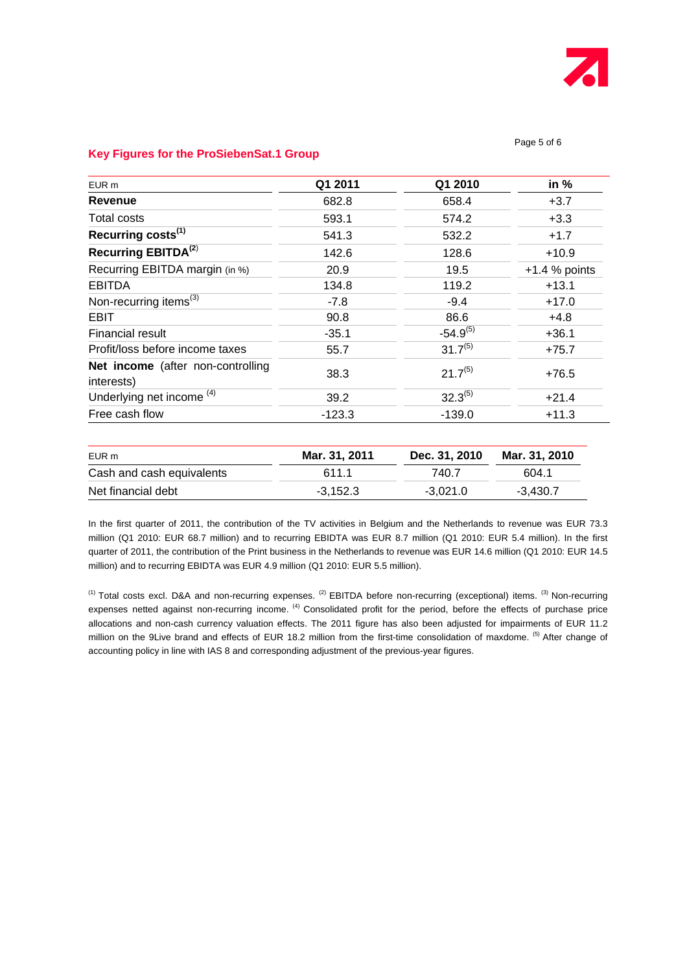

#### Page 5 of 6

#### **Key Figures for the ProSiebenSat.1 Group**

| EUR m                                           | Q1 2011  | Q1 2010       | in $%$          |
|-------------------------------------------------|----------|---------------|-----------------|
| Revenue                                         | 682.8    | 658.4         | $+3.7$          |
| Total costs                                     | 593.1    | 574.2         | $+3.3$          |
| Recurring costs <sup>(1)</sup>                  | 541.3    | 532.2         | $+1.7$          |
| Recurring EBITDA <sup>(2)</sup>                 | 142.6    | 128.6         | $+10.9$         |
| Recurring EBITDA margin (in %)                  | 20.9     | 19.5          | $+1.4$ % points |
| <b>EBITDA</b>                                   | 134.8    | 119.2         | $+13.1$         |
| Non-recurring items <sup>(3)</sup>              | $-7.8$   | $-9.4$        | $+17.0$         |
| <b>EBIT</b>                                     | 90.8     | 86.6          | $+4.8$          |
| Financial result                                | $-35.1$  | $-54.9^{(5)}$ | $+36.1$         |
| Profit/loss before income taxes                 | 55.7     | $31.7^{(5)}$  | $+75.7$         |
| Net income (after non-controlling<br>interests) | 38.3     | $21.7^{(5)}$  | $+76.5$         |
| Underlying net income <sup>(4)</sup>            | 39.2     | $32.3^{(5)}$  | $+21.4$         |
| Free cash flow                                  | $-123.3$ | $-139.0$      | $+11.3$         |

| EUR m                     | Mar. 31, 2011 | Dec. 31. 2010 Mar. 31. 2010 |            |  |
|---------------------------|---------------|-----------------------------|------------|--|
| Cash and cash equivalents | 611 1         | 740.7                       | 604.1      |  |
| Net financial debt        | $-3.152.3$    | -3.021.0                    | $-3.430.7$ |  |

In the first quarter of 2011, the contribution of the TV activities in Belgium and the Netherlands to revenue was EUR 73.3 million (Q1 2010: EUR 68.7 million) and to recurring EBIDTA was EUR 8.7 million (Q1 2010: EUR 5.4 million). In the first quarter of 2011, the contribution of the Print business in the Netherlands to revenue was EUR 14.6 million (Q1 2010: EUR 14.5 million) and to recurring EBIDTA was EUR 4.9 million (Q1 2010: EUR 5.5 million).

 $(1)$  Total costs excl. D&A and non-recurring expenses.  $(2)$  EBITDA before non-recurring (exceptional) items.  $(3)$  Non-recurring expenses netted against non-recurring income. <sup>(4)</sup> Consolidated profit for the period, before the effects of purchase price allocations and non-cash currency valuation effects. The 2011 figure has also been adjusted for impairments of EUR 11.2 million on the 9Live brand and effects of EUR 18.2 million from the first-time consolidation of maxdome. <sup>(5)</sup> After change of accounting policy in line with IAS 8 and corresponding adjustment of the previous-year figures.